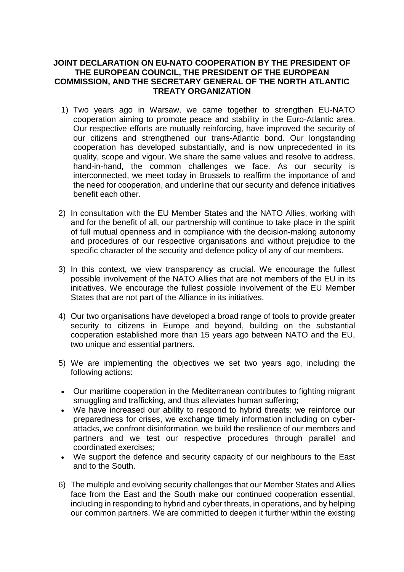## **JOINT DECLARATION ON EU-NATO COOPERATION BY THE PRESIDENT OF THE EUROPEAN COUNCIL, THE PRESIDENT OF THE EUROPEAN COMMISSION, AND THE SECRETARY GENERAL OF THE NORTH ATLANTIC TREATY ORGANIZATION**

- 1) Two years ago in Warsaw, we came together to strengthen EU-NATO cooperation aiming to promote peace and stability in the Euro-Atlantic area. Our respective efforts are mutually reinforcing, have improved the security of our citizens and strengthened our trans-Atlantic bond. Our longstanding cooperation has developed substantially, and is now unprecedented in its quality, scope and vigour. We share the same values and resolve to address, hand-in-hand, the common challenges we face. As our security is interconnected, we meet today in Brussels to reaffirm the importance of and the need for cooperation, and underline that our security and defence initiatives benefit each other.
- 2) In consultation with the EU Member States and the NATO Allies, working with and for the benefit of all, our partnership will continue to take place in the spirit of full mutual openness and in compliance with the decision-making autonomy and procedures of our respective organisations and without prejudice to the specific character of the security and defence policy of any of our members.
- 3) In this context, we view transparency as crucial. We encourage the fullest possible involvement of the NATO Allies that are not members of the EU in its initiatives. We encourage the fullest possible involvement of the EU Member States that are not part of the Alliance in its initiatives.
- 4) Our two organisations have developed a broad range of tools to provide greater security to citizens in Europe and beyond, building on the substantial cooperation established more than 15 years ago between NATO and the EU, two unique and essential partners.
- 5) We are implementing the objectives we set two years ago, including the following actions:
- Our maritime cooperation in the Mediterranean contributes to fighting migrant smuggling and trafficking, and thus alleviates human suffering;
- We have increased our ability to respond to hybrid threats: we reinforce our preparedness for crises, we exchange timely information including on cyberattacks, we confront disinformation, we build the resilience of our members and partners and we test our respective procedures through parallel and coordinated exercises;
- We support the defence and security capacity of our neighbours to the East and to the South.
- 6) The multiple and evolving security challenges that our Member States and Allies face from the East and the South make our continued cooperation essential, including in responding to hybrid and cyber threats, in operations, and by helping our common partners. We are committed to deepen it further within the existing